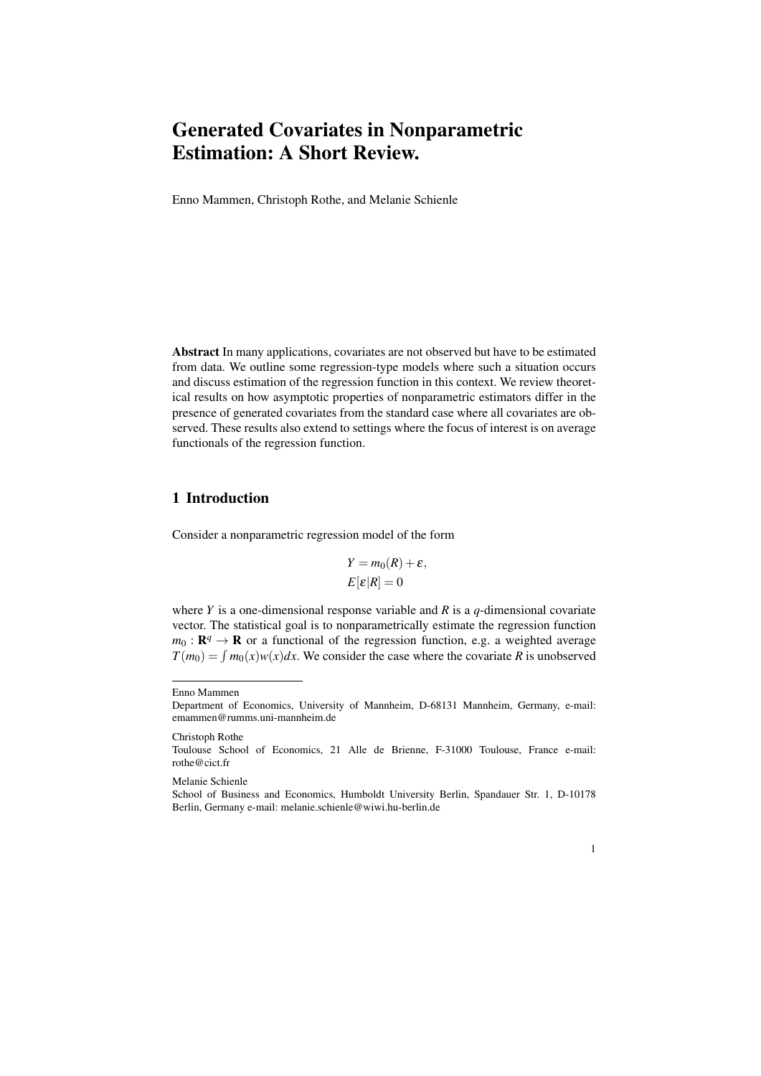Enno Mammen, Christoph Rothe, and Melanie Schienle

Abstract In many applications, covariates are not observed but have to be estimated from data. We outline some regression-type models where such a situation occurs and discuss estimation of the regression function in this context. We review theoretical results on how asymptotic properties of nonparametric estimators differ in the presence of generated covariates from the standard case where all covariates are observed. These results also extend to settings where the focus of interest is on average functionals of the regression function.

# 1 Introduction

Consider a nonparametric regression model of the form

$$
Y = m_0(R) + \varepsilon,
$$
  

$$
E[\varepsilon|R] = 0
$$

where *Y* is a one-dimensional response variable and *R* is a *q*-dimensional covariate vector. The statistical goal is to nonparametrically estimate the regression function  $m_0: \mathbf{R}^q \to \mathbf{R}$  or a functional of the regression function, e.g. a weighted average  $T(m_0) = \int m_0(x) w(x) dx$ . We consider the case where the covariate *R* is unobserved

Christoph Rothe

Melanie Schienle

School of Business and Economics, Humboldt University Berlin, Spandauer Str. 1, D-10178 Berlin, Germany e-mail: melanie.schienle@wiwi.hu-berlin.de



Enno Mammen

Department of Economics, University of Mannheim, D-68131 Mannheim, Germany, e-mail: emammen@rumms.uni-mannheim.de

Toulouse School of Economics, 21 Alle de Brienne, F-31000 Toulouse, France e-mail: rothe@cict.fr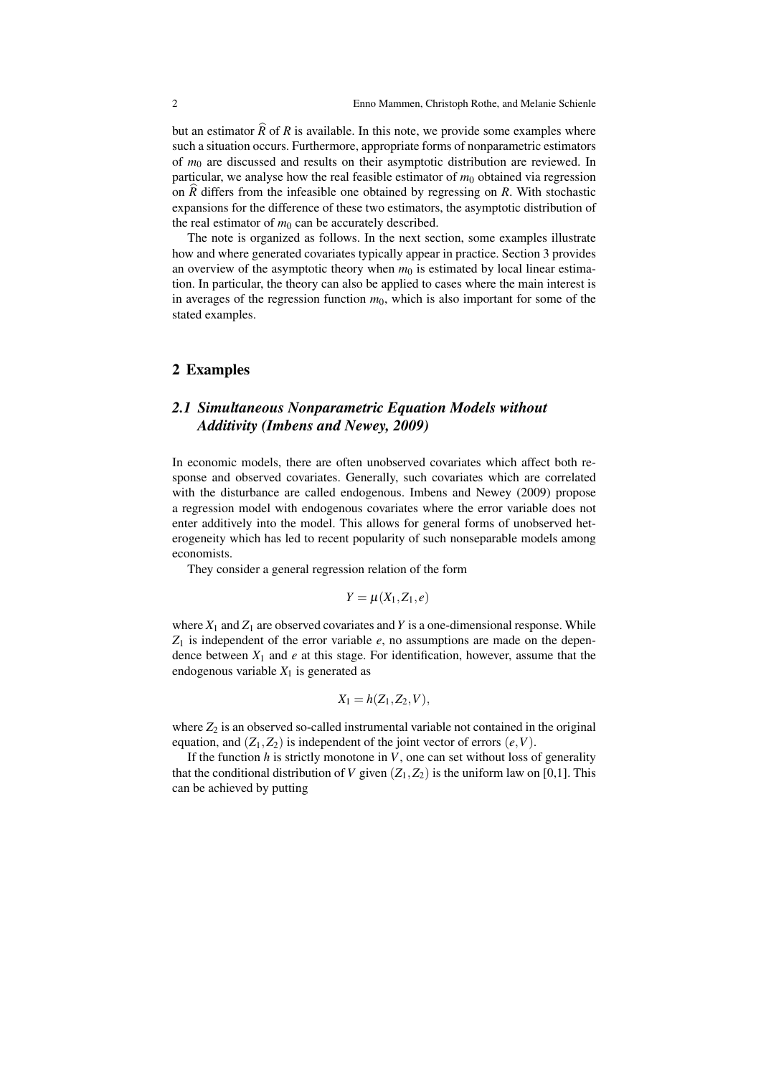but an estimator  $\widehat{R}$  of *R* is available. In this note, we provide some examples where such a situation occurs. Furthermore, appropriate forms of nonparametric estimators of *m*<sup>0</sup> are discussed and results on their asymptotic distribution are reviewed. In particular, we analyse how the real feasible estimator of  $m_0$  obtained via regression on *R*b differs from the infeasible one obtained by regressing on *R*. With stochastic expansions for the difference of these two estimators, the asymptotic distribution of the real estimator of  $m_0$  can be accurately described.

The note is organized as follows. In the next section, some examples illustrate how and where generated covariates typically appear in practice. Section 3 provides an overview of the asymptotic theory when  $m_0$  is estimated by local linear estimation. In particular, the theory can also be applied to cases where the main interest is in averages of the regression function  $m<sub>0</sub>$ , which is also important for some of the stated examples.

#### 2 Examples

# *2.1 Simultaneous Nonparametric Equation Models without Additivity (Imbens and Newey, 2009)*

In economic models, there are often unobserved covariates which affect both response and observed covariates. Generally, such covariates which are correlated with the disturbance are called endogenous. Imbens and Newey (2009) propose a regression model with endogenous covariates where the error variable does not enter additively into the model. This allows for general forms of unobserved heterogeneity which has led to recent popularity of such nonseparable models among economists.

They consider a general regression relation of the form

$$
Y=\mu(X_1,Z_1,e)
$$

where  $X_1$  and  $Z_1$  are observed covariates and Y is a one-dimensional response. While  $Z_1$  is independent of the error variable  $e$ , no assumptions are made on the dependence between  $X_1$  and  $e$  at this stage. For identification, however, assume that the endogenous variable  $X_1$  is generated as

$$
X_1=h(Z_1,Z_2,V),
$$

where  $Z_2$  is an observed so-called instrumental variable not contained in the original equation, and  $(Z_1, Z_2)$  is independent of the joint vector of errors  $(e, V)$ .

If the function  $h$  is strictly monotone in  $V$ , one can set without loss of generality that the conditional distribution of *V* given  $(Z_1, Z_2)$  is the uniform law on [0,1]. This can be achieved by putting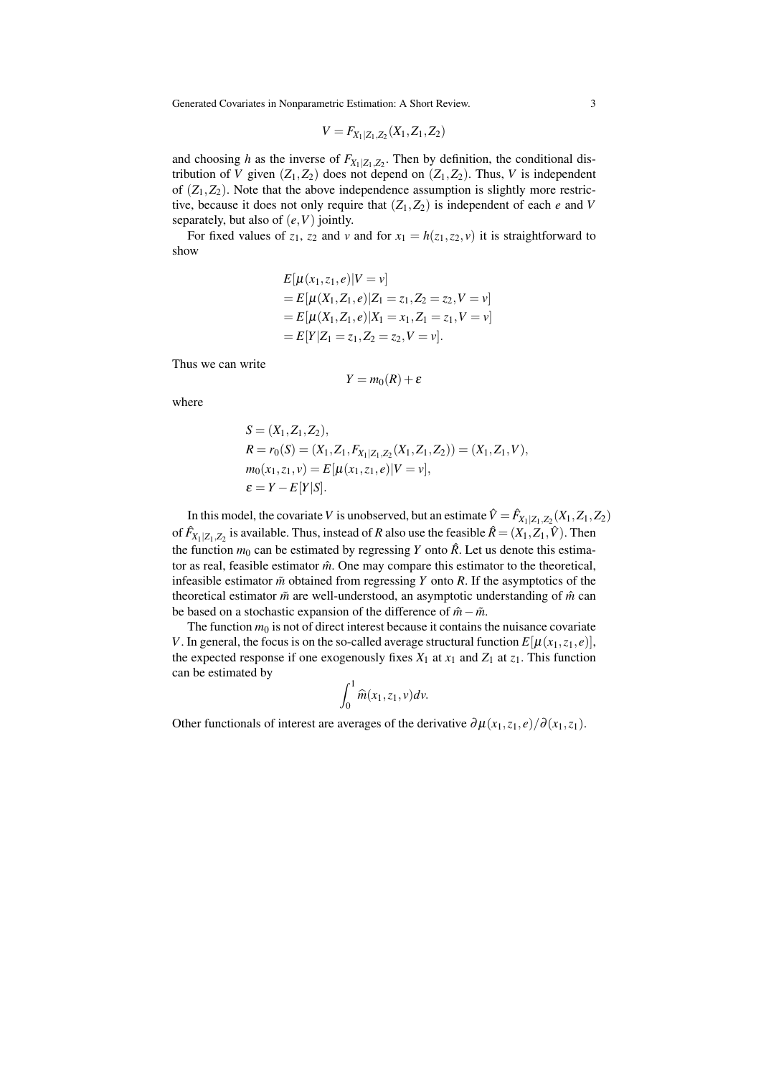$$
V = F_{X_1|Z_1,Z_2}(X_1,Z_1,Z_2)
$$

and choosing *h* as the inverse of  $F_{X_1|Z_1,Z_2}$ . Then by definition, the conditional distribution of *V* given  $(Z_1, Z_2)$  does not depend on  $(Z_1, Z_2)$ . Thus, *V* is independent of  $(Z_1, Z_2)$ . Note that the above independence assumption is slightly more restrictive, because it does not only require that  $(Z_1, Z_2)$  is independent of each *e* and *V* separately, but also of (*e,V*) jointly.

For fixed values of  $z_1$ ,  $z_2$  and  $v$  and for  $x_1 = h(z_1, z_2, v)$  it is straightforward to show

$$
E[\mu(x_1, z_1, e)|V = v]
$$
  
=  $E[\mu(X_1, Z_1, e)|Z_1 = z_1, Z_2 = z_2, V = v]$   
=  $E[\mu(X_1, Z_1, e)|X_1 = x_1, Z_1 = z_1, V = v]$   
=  $E[Y|Z_1 = z_1, Z_2 = z_2, V = v]$ .

Thus we can write

$$
Y=m_0(R)+\varepsilon
$$

where

$$
S = (X_1, Z_1, Z_2),
$$
  
\n
$$
R = r_0(S) = (X_1, Z_1, F_{X_1|Z_1, Z_2}(X_1, Z_1, Z_2)) = (X_1, Z_1, V),
$$
  
\n
$$
m_0(x_1, z_1, v) = E[\mu(x_1, z_1, e)|V = v],
$$
  
\n
$$
\varepsilon = Y - E[Y|S].
$$

In this model, the covariate *V* is unobserved, but an estimate  $\hat{V} = \hat{F}_{X_1|Z_1,Z_2}(X_1,Z_1,Z_2)$ of  $\hat{F}_{X_1|Z_1,Z_2}$  is available. Thus, instead of *R* also use the feasible  $\hat{R} = (X_1, Z_1, \hat{V})$ . Then the function  $m_0$  can be estimated by regressing *Y* onto  $\hat{R}$ . Let us denote this estimator as real, feasible estimator  $\hat{m}$ . One may compare this estimator to the theoretical, infeasible estimator  $\tilde{m}$  obtained from regressing *Y* onto *R*. If the asymptotics of the theoretical estimator  $\tilde{m}$  are well-understood, an asymptotic understanding of  $\hat{m}$  can be based on a stochastic expansion of the difference of  $\hat{m} - \tilde{m}$ .

The function  $m_0$  is not of direct interest because it contains the nuisance covariate *V*. In general, the focus is on the so-called average structural function  $E[\mu(x_1, z_1, e)]$ , the expected response if one exogenously fixes  $X_1$  at  $x_1$  and  $Z_1$  at  $z_1$ . This function can be estimated by

$$
\int_0^1 \widehat{m}(x_1,z_1,v)dv.
$$

Other functionals of interest are averages of the derivative  $\partial \mu(x_1, z_1, e)/\partial(x_1, z_1)$ .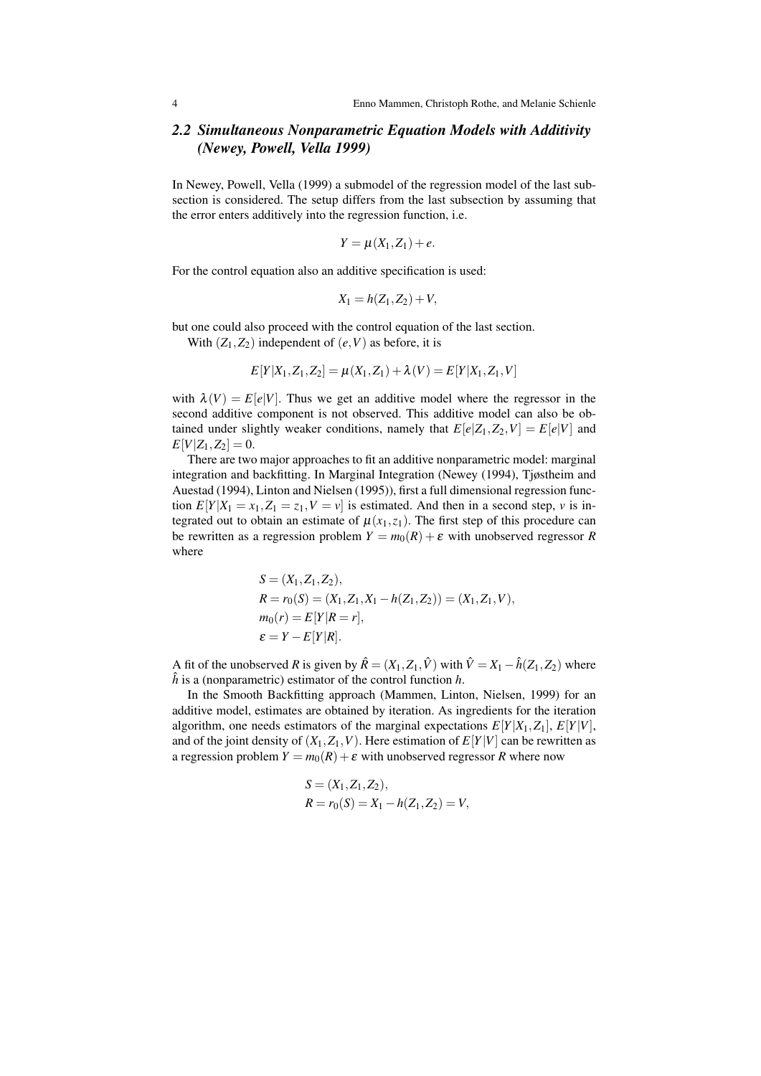## *2.2 Simultaneous Nonparametric Equation Models with Additivity (Newey, Powell, Vella 1999)*

In Newey, Powell, Vella (1999) a submodel of the regression model of the last subsection is considered. The setup differs from the last subsection by assuming that the error enters additively into the regression function, i.e.

$$
Y=\mu(X_1,Z_1)+e.
$$

For the control equation also an additive specification is used:

$$
X_1 = h(Z_1, Z_2) + V,
$$

but one could also proceed with the control equation of the last section.

With  $(Z_1, Z_2)$  independent of  $(e, V)$  as before, it is

$$
E[Y|X_1, Z_1, Z_2] = \mu(X_1, Z_1) + \lambda(V) = E[Y|X_1, Z_1, V]
$$

with  $\lambda(V) = E[e|V]$ . Thus we get an additive model where the regressor in the second additive component is not observed. This additive model can also be obtained under slightly weaker conditions, namely that  $E[e|Z_1, Z_2, V] = E[e|V]$  and  $E[V|Z_1, Z_2] = 0.$ 

There are two major approaches to fit an additive nonparametric model: marginal integration and backfitting. In Marginal Integration (Newey (1994), Tjøstheim and Auestad (1994), Linton and Nielsen (1995)), first a full dimensional regression function  $E[Y|X_1 = x_1, Z_1 = z_1, V = v]$  is estimated. And then in a second step, *v* is integrated out to obtain an estimate of  $\mu(x_1, z_1)$ . The first step of this procedure can be rewritten as a regression problem  $Y = m_0(R) + \varepsilon$  with unobserved regressor *R* where

$$
S = (X_1, Z_1, Z_2),
$$
  
\n
$$
R = r_0(S) = (X_1, Z_1, X_1 - h(Z_1, Z_2)) = (X_1, Z_1, V),
$$
  
\n
$$
m_0(r) = E[Y|R = r],
$$
  
\n
$$
\varepsilon = Y - E[Y|R].
$$

A fit of the unobserved *R* is given by  $\hat{R} = (X_1, Z_1, \hat{V})$  with  $\hat{V} = X_1 - \hat{h}(Z_1, Z_2)$  where  $\hat{h}$  is a (nonparametric) estimator of the control function  $h$ .

In the Smooth Backfitting approach (Mammen, Linton, Nielsen, 1999) for an additive model, estimates are obtained by iteration. As ingredients for the iteration algorithm, one needs estimators of the marginal expectations  $E[Y|X_1, Z_1]$ ,  $E[Y|V]$ , and of the joint density of  $(X_1, Z_1, V)$ . Here estimation of  $E[Y|V]$  can be rewritten as a regression problem  $Y = m_0(R) + \varepsilon$  with unobserved regressor *R* where now

$$
S = (X_1, Z_1, Z_2),
$$
  
\n
$$
R = r_0(S) = X_1 - h(Z_1, Z_2) = V,
$$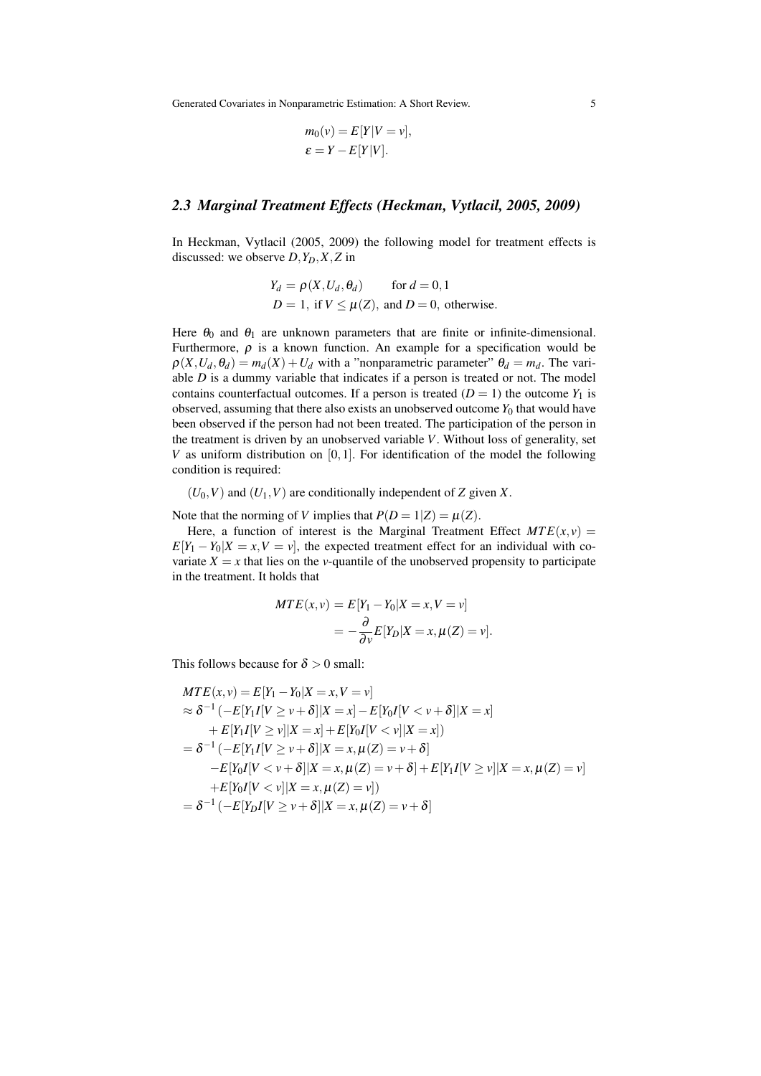$$
m_0(v) = E[Y|V = v],
$$
  

$$
\varepsilon = Y - E[Y|V].
$$

#### *2.3 Marginal Treatment Effects (Heckman, Vytlacil, 2005, 2009)*

In Heckman, Vytlacil (2005, 2009) the following model for treatment effects is discussed: we observe  $D$ *,* $Y_D$ *,* $X$ *,* $Z$  in

$$
Y_d = \rho(X, U_d, \theta_d) \quad \text{for } d = 0, 1
$$
  
 
$$
D = 1, \text{ if } V \leq \mu(Z), \text{ and } D = 0, \text{ otherwise.}
$$

Here  $\theta_0$  and  $\theta_1$  are unknown parameters that are finite or infinite-dimensional. Furthermore,  $\rho$  is a known function. An example for a specification would be  $\rho(X, U_d, \theta_d) = m_d(X) + U_d$  with a "nonparametric parameter"  $\theta_d = m_d$ . The variable *D* is a dummy variable that indicates if a person is treated or not. The model contains counterfactual outcomes. If a person is treated  $(D = 1)$  the outcome  $Y_1$  is observed, assuming that there also exists an unobserved outcome  $Y_0$  that would have been observed if the person had not been treated. The participation of the person in the treatment is driven by an unobserved variable *V*. Without loss of generality, set *V* as uniform distribution on [0*,*1]. For identification of the model the following condition is required:

 $(U_0, V)$  and  $(U_1, V)$  are conditionally independent of *Z* given *X*.

Note that the norming of *V* implies that  $P(D = 1|Z) = \mu(Z)$ .

Here, a function of interest is the Marginal Treatment Effect  $MTE(x, y) =$  $E[Y_1 - Y_0|X = x, V = v]$ , the expected treatment effect for an individual with covariate  $X = x$  that lies on the *v*-quantile of the unobserved propensity to participate in the treatment. It holds that

$$
MTE(x, v) = E[Y1 - Y0|X = x, V = v]
$$

$$
= -\frac{\partial}{\partial v}E[YD|X = x, \mu(Z) = v].
$$

This follows because for  $\delta > 0$  small:

$$
MTE(x, v) = E[Y_1 - Y_0|X = x, V = v]
$$
  
\n
$$
\approx \delta^{-1} (-E[Y_1I[V \ge v + \delta]|X = x] - E[Y_0I[V < v + \delta]|X = x]
$$
  
\n
$$
+ E[Y_1I[V \ge v]|X = x] + E[Y_0I[V < v]|X = x])
$$
  
\n
$$
= \delta^{-1} (-E[Y_1I[V \ge v + \delta]|X = x, \mu(Z) = v + \delta]
$$
  
\n
$$
-E[Y_0I[V < v + \delta]|X = x, \mu(Z) = v + \delta] + E[Y_1I[V \ge v]|X = x, \mu(Z) = v]
$$
  
\n
$$
+ E[Y_0I[V < v]|X = x, \mu(Z) = v]
$$
  
\n
$$
= \delta^{-1} (-E[Y_0I[V \ge v + \delta]|X = x, \mu(Z) = v + \delta]
$$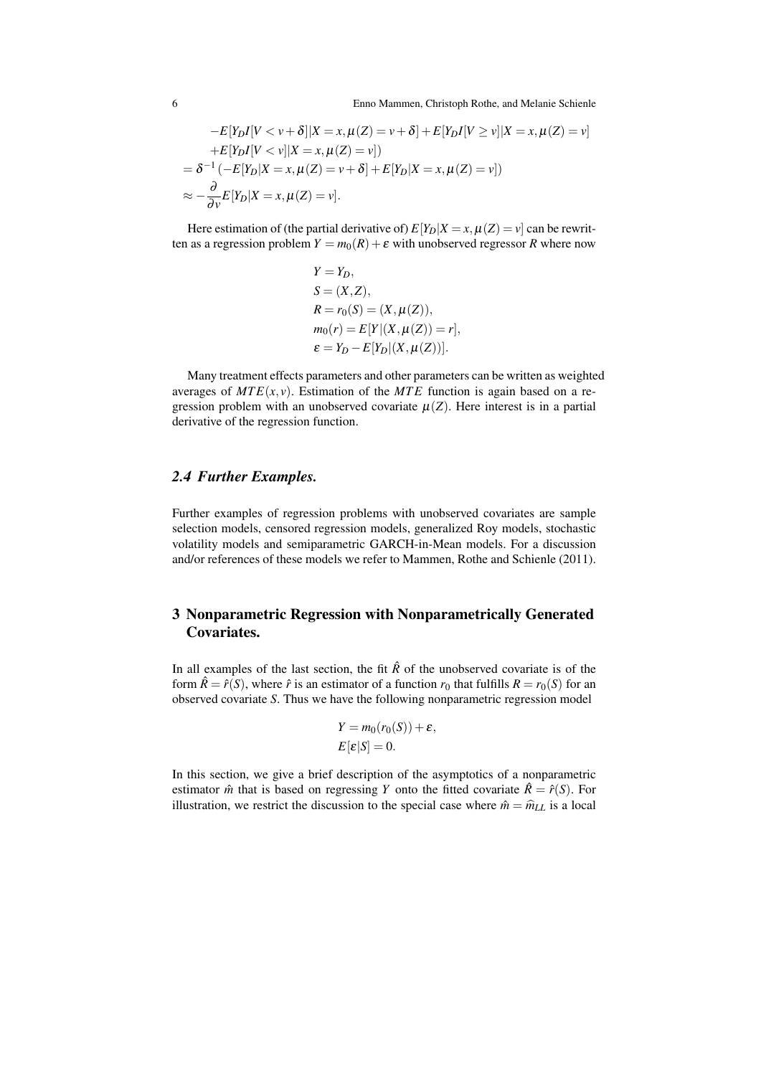6 Enno Mammen, Christoph Rothe, and Melanie Schienle

$$
-E[Y_DI[V < v + \delta]|X = x, \mu(Z) = v + \delta] + E[Y_DI[V \ge v]|X = x, \mu(Z) = v]
$$
\n
$$
+E[Y_DI[V < v]|X = x, \mu(Z) = v])
$$
\n
$$
= \delta^{-1}(-E[Y_D|X = x, \mu(Z) = v + \delta] + E[Y_D|X = x, \mu(Z) = v])
$$
\n
$$
\approx -\frac{\partial}{\partial v}E[Y_D|X = x, \mu(Z) = v].
$$

Here estimation of (the partial derivative of)  $E[Y_D|X=x, \mu(Z)=v]$  can be rewritten as a regression problem  $Y = m_0(R) + \varepsilon$  with unobserved regressor *R* where now

$$
Y = Y_D,
$$
  
\n
$$
S = (X, Z),
$$
  
\n
$$
R = r_0(S) = (X, \mu(Z)),
$$
  
\n
$$
m_0(r) = E[Y|(X, \mu(Z)) = r],
$$
  
\n
$$
\varepsilon = Y_D - E[Y_D|(X, \mu(Z))].
$$

Many treatment effects parameters and other parameters can be written as weighted averages of  $MTE(x, y)$ . Estimation of the  $MTE$  function is again based on a regression problem with an unobserved covariate  $\mu(Z)$ . Here interest is in a partial derivative of the regression function.

#### *2.4 Further Examples.*

Further examples of regression problems with unobserved covariates are sample selection models, censored regression models, generalized Roy models, stochastic volatility models and semiparametric GARCH-in-Mean models. For a discussion and/or references of these models we refer to Mammen, Rothe and Schienle (2011).

## 3 Nonparametric Regression with Nonparametrically Generated Covariates.

In all examples of the last section, the fit  $\hat{R}$  of the unobserved covariate is of the form  $\hat{R} = \hat{r}(S)$ , where  $\hat{r}$  is an estimator of a function  $r_0$  that fulfills  $R = r_0(S)$  for an observed covariate *S*. Thus we have the following nonparametric regression model

$$
Y = m_0(r_0(S)) + \varepsilon,
$$
  

$$
E[\varepsilon|S] = 0.
$$

In this section, we give a brief description of the asymptotics of a nonparametric estimator  $\hat{m}$  that is based on regressing *Y* onto the fitted covariate  $\hat{R} = \hat{r}(S)$ . For illustration, we restrict the discussion to the special case where  $\hat{m} = \hat{m}_{LL}$  is a local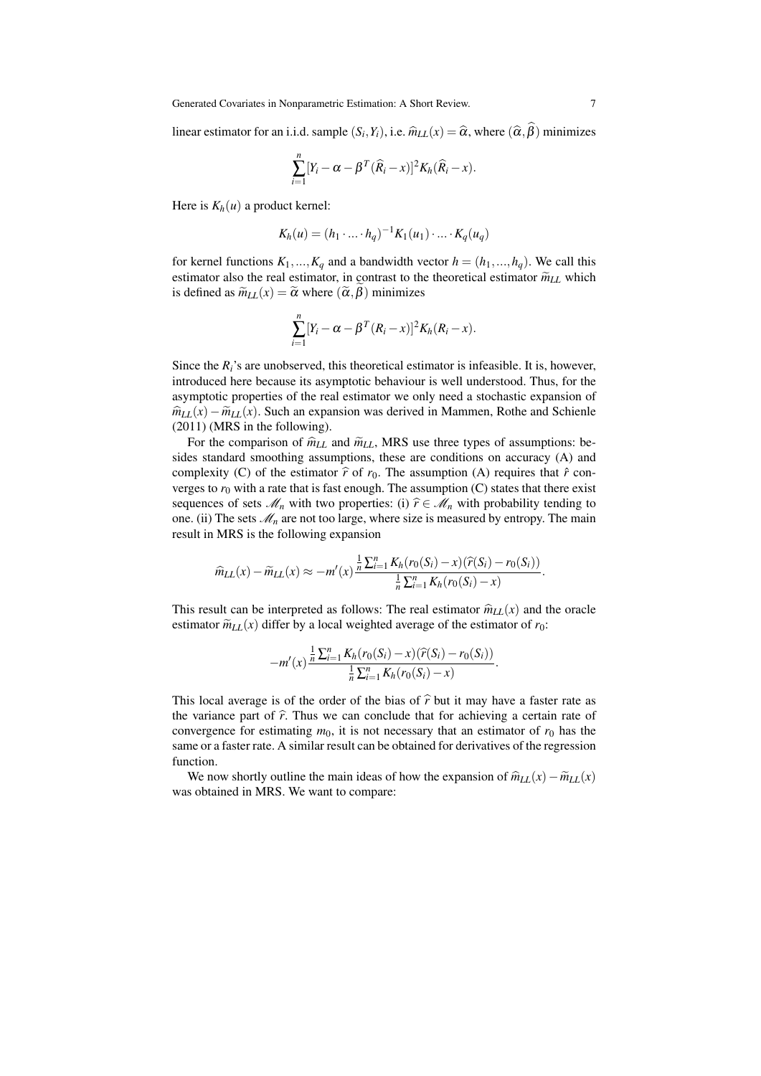linear estimator for an i.i.d. sample  $(S_i, Y_i)$ , i.e.  $\widehat{m}_{LL}(x) = \widehat{\alpha}$ , where  $(\widehat{\alpha}, \beta)$  minimizes

$$
\sum_{i=1}^n [Y_i - \alpha - \beta^T (\widehat{R}_i - x)]^2 K_h (\widehat{R}_i - x).
$$

Here is  $K_h(u)$  a product kernel:

$$
K_h(u) = (h_1 \cdot \ldots \cdot h_q)^{-1} K_1(u_1) \cdot \ldots \cdot K_q(u_q)
$$

for kernel functions  $K_1, ..., K_q$  and a bandwidth vector  $h = (h_1, ..., h_q)$ . We call this estimator also the real estimator, in contrast to the theoretical estimator  $\widetilde{m}_{LL}$  which is defined as  $\widetilde{m}_{LL}(x) = \widetilde{\alpha}$  where  $(\widetilde{\alpha}, \beta)$  minimizes

$$
\sum_{i=1}^n [Y_i - \alpha - \beta^T (R_i - x)]^2 K_h (R_i - x).
$$

Since the *Ri*'s are unobserved, this theoretical estimator is infeasible. It is, however, introduced here because its asymptotic behaviour is well understood. Thus, for the asymptotic properties of the real estimator we only need a stochastic expansion of  $\hat{m}_{LL}(x) - \tilde{m}_{LL}(x)$ . Such an expansion was derived in Mammen, Rothe and Schienle (2011) (MRS in the following).

For the comparison of  $\hat{m}_{LL}$  and  $\tilde{m}_{LL}$ , MRS use three types of assumptions: besides standard smoothing assumptions, these are conditions on accuracy (A) and complexity (C) of the estimator  $\hat{r}$  of  $r_0$ . The assumption (A) requires that  $\hat{r}$  converges to  $r_0$  with a rate that is fast enough. The assumption  $(C)$  states that there exist sequences of sets  $\mathcal{M}_n$  with two properties: (i)  $\hat{r} \in \mathcal{M}_n$  with probability tending to one. (ii) The sets  $\mathcal{M}_n$  are not too large, where size is measured by entropy. The main result in MRS is the following expansion

$$
\widehat{m}_{LL}(x) - \widetilde{m}_{LL}(x) \approx -m'(x) \frac{\frac{1}{n} \sum_{i=1}^{n} K_h(r_0(S_i) - x)(\widehat{r}(S_i) - r_0(S_i))}{\frac{1}{n} \sum_{i=1}^{n} K_h(r_0(S_i) - x)}.
$$

This result can be interpreted as follows: The real estimator  $\hat{m}_{LL}(x)$  and the oracle estimator  $\widetilde{m}_{LL}(x)$  differ by a local weighted average of the estimator of  $r_0$ :

$$
-m'(x)\frac{\frac{1}{n}\sum_{i=1}^{n}K_h(r_0(S_i)-x)(\widehat{r}(S_i)-r_0(S_i))}{\frac{1}{n}\sum_{i=1}^{n}K_h(r_0(S_i)-x)}.
$$

This local average is of the order of the bias of  $\hat{r}$  but it may have a faster rate as the variance part of  $\hat{r}$ . Thus we can conclude that for achieving a certain rate of convergence for estimating  $m_0$ , it is not necessary that an estimator of  $r_0$  has the same or a faster rate. A similar result can be obtained for derivatives of the regression function.

We now shortly outline the main ideas of how the expansion of  $\hat{m}_{LL}(x) - \tilde{m}_{LL}(x)$ was obtained in MRS. We want to compare: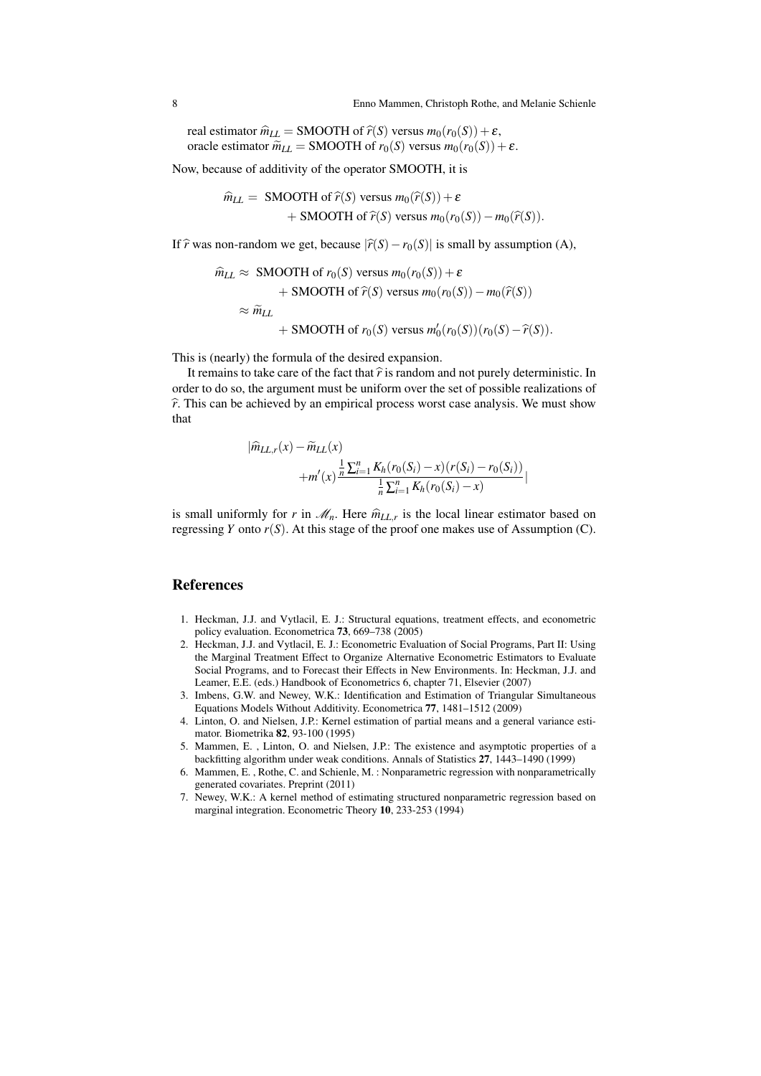real estimator  $\hat{m}_{LL}$  = SMOOTH of  $\hat{r}(S)$  versus  $m_0(r_0(S)) + \varepsilon$ , oracle estimator  $\widetilde{m}_{LL}$  = SMOOTH of  $r_0(S)$  versus  $m_0(r_0(S)) + \varepsilon$ .

Now, because of additivity of the operator SMOOTH, it is

$$
\widehat{m}_{LL} = \text{SMOOTH of } \widehat{r}(S) \text{ versus } m_0(\widehat{r}(S)) + \varepsilon + \text{SMOOTH of } \widehat{r}(S) \text{ versus } m_0(r_0(S)) - m_0(\widehat{r}(S)).
$$

If  $\hat{r}$  was non-random we get, because  $|\hat{r}(S) - r_0(S)|$  is small by assumption (A),

$$
\hat{m}_{LL} \approx \text{SMOOTH of } r_0(S) \text{ versus } m_0(r_0(S)) + \varepsilon
$$
  
+ SMOOTH of  $\hat{r}(S)$  versus  $m_0(r_0(S)) - m_0(\hat{r}(S))$   

$$
\approx \tilde{m}_{LL}
$$
+ SMOOTH of  $r_0(S)$  versus  $m'_0(r_0(S))(r_0(S) - \hat{r}(S))$ .

This is (nearly) the formula of the desired expansion.

It remains to take care of the fact that  $\hat{r}$  is random and not purely deterministic. In order to do so, the argument must be uniform over the set of possible realizations of  $\hat{r}$ . This can be achieved by an empirical process worst case analysis. We must show that

$$
|\widehat{m}_{LL,r}(x) - \widetilde{m}_{LL}(x)| + m'(x)\frac{\frac{1}{n}\sum_{i=1}^{n}K_h(r_0(S_i) - x)(r(S_i) - r_0(S_i))}{\frac{1}{n}\sum_{i=1}^{n}K_h(r_0(S_i) - x)}
$$

is small uniformly for *r* in  $\mathcal{M}_n$ . Here  $\hat{m}_{LL,r}$  is the local linear estimator based on<br>measure *V* ante  $u(S)$ . At this stage of the graphs are malaxe use of Assumption (G) regressing *Y* onto  $r(S)$ . At this stage of the proof one makes use of Assumption (C).

#### References

- 1. Heckman, J.J. and Vytlacil, E. J.: Structural equations, treatment effects, and econometric policy evaluation. Econometrica 73, 669–738 (2005)
- 2. Heckman, J.J. and Vytlacil, E. J.: Econometric Evaluation of Social Programs, Part II: Using the Marginal Treatment Effect to Organize Alternative Econometric Estimators to Evaluate Social Programs, and to Forecast their Effects in New Environments. In: Heckman, J.J. and Leamer, E.E. (eds.) Handbook of Econometrics 6, chapter 71, Elsevier (2007)
- 3. Imbens, G.W. and Newey, W.K.: Identification and Estimation of Triangular Simultaneous Equations Models Without Additivity. Econometrica 77, 1481–1512 (2009)
- 4. Linton, O. and Nielsen, J.P.: Kernel estimation of partial means and a general variance estimator. Biometrika 82, 93-100 (1995)
- 5. Mammen, E. , Linton, O. and Nielsen, J.P.: The existence and asymptotic properties of a backfitting algorithm under weak conditions. Annals of Statistics 27, 1443–1490 (1999)
- 6. Mammen, E. , Rothe, C. and Schienle, M. : Nonparametric regression with nonparametrically generated covariates. Preprint (2011)
- 7. Newey, W.K.: A kernel method of estimating structured nonparametric regression based on marginal integration. Econometric Theory 10, 233-253 (1994)